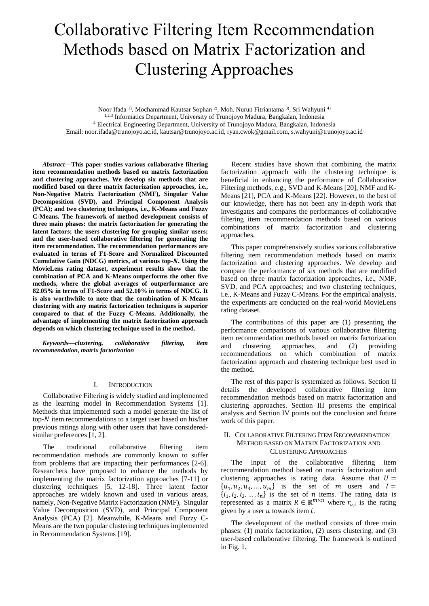# Collaborative Filtering Item Recommendation Methods based on Matrix Factorization and Clustering Approaches

Noor Ifada <sup>1)</sup>, Mochammad Kautsar Sophan <sup>2)</sup>, Moh. Nurun Fitriantama <sup>3)</sup>, Sri Wahyuni <sup>4)</sup> 1,2,3 Informatics Department, University of Trunojoyo Madura, Bangkalan, Indonesia <sup>4</sup> Electrical Engineering Department, University of Trunojoyo Madura, Bangkalan, Indonesia Email: noor.ifada@trunojoyo.ac.id, kautsar@trunojoyo.ac.id, ryan.cwok@gmail.com, s.wahyuni@trunojoyo.ac.id

*Abstract***—This paper studies various collaborative filtering item recommendation methods based on matrix factorization and clustering approaches. We develop six methods that are modified based on three matrix factorization approaches, i.e., Non-Negative Matrix Factorization (NMF), Singular Value Decomposition (SVD), and Principal Component Analysis (PCA); and two clustering techniques, i.e., K-Means and Fuzzy C-Means. The framework of method development consists of three main phases: the matrix factorization for generating the latent factors; the users clustering for grouping similar users; and the user-based collaborative filtering for generating the item recommendation. The recommendation performances are evaluated in terms of F1-Score and Normalized Discounted Cumulative Gain (NDCG) metrics, at various top-. Using the MovieLens rating dataset, experiment results show that the combination of PCA and K-Means outperforms the other five methods, where the global averages of outperformance are 82.05% in terms of F1-Score and 52.10% in terms of NDCG. It is also worthwhile to note that the combination of K-Means clustering with any matrix factorization techniques is superior compared to that of the Fuzzy C-Means. Additionally, the advantage of implementing the matrix factorization approach depends on which clustering technique used in the method.** 

*Keywords—clustering, collaborative filtering, item recommendation, matrix factorization*

## I. INTRODUCTION

Collaborative Filtering is widely studied and implemented as the learning model in Recommendation Systems [1]. Methods that implemented such a model generate the list of top- $N$  item recommendations to a target user based on his/her previous ratings along with other users that have consideredsimilar preferences [1, 2].

The traditional collaborative filtering item recommendation methods are commonly known to suffer from problems that are impacting their performances [2-6]. Researchers have proposed to enhance the methods by implementing the matrix factorization approaches [7-11] or clustering techniques [5, 12-18]. Three latent factor approaches are widely known and used in various areas, namely, Non-Negative Matrix Factorization (NMF), Singular Value Decomposition (SVD), and Principal Component Analysis (PCA) [2]. Meanwhile, K-Means and Fuzzy C-Means are the two popular clustering techniques implemented in Recommendation Systems [19].

Recent studies have shown that combining the matrix factorization approach with the clustering technique is beneficial in enhancing the performance of Collaborative Filtering methods, e.g., SVD and K-Means [20], NMF and K-Means [21], PCA and K-Means [22]. However, to the best of our knowledge, there has not been any in-depth work that investigates and compares the performances of collaborative filtering item recommendation methods based on various combinations of matrix factorization and clustering approaches.

This paper comprehensively studies various collaborative filtering item recommendation methods based on matrix factorization and clustering approaches. We develop and compare the performance of six methods that are modified based on three matrix factorization approaches, i.e., NMF, SVD, and PCA approaches; and two clustering techniques, i.e., K-Means and Fuzzy C-Means. For the empirical analysis, the experiments are conducted on the real-world MovieLens rating dataset.

The contributions of this paper are (1) presenting the performance comparisons of various collaborative filtering item recommendation methods based on matrix factorization<br>and clustering approaches, and (2) providing and clustering approaches, and (2) providing recommendations on which combination of matrix factorization approach and clustering technique best used in the method.

The rest of this paper is systemized as follows. Section II details the developed collaborative filtering item recommendation methods based on matrix factorization and clustering approaches. Section III presents the empirical analysis and Section IV points out the conclusion and future work of this paper.

# II. COLLABORATIVE FILTERING ITEM RECOMMENDATION METHOD BASED ON MATRIX FACTORIZATION AND CLUSTERING APPROACHES

The input of the collaborative filtering item recommendation method based on matrix factorization and clustering approaches is rating data. Assume that  $U =$  $\{u_1, u_2, u_3, \dots, u_m\}$  is the set of *m* users and  $I =$  $\{i_1, i_2, i_3, \ldots, i_n\}$  is the set of *n* items. The rating data is represented as a matrix  $R \in \mathbb{R}^{m \times n}$  where  $r_{u,i}$  is the rating given by a user  $u$  towards item  $i$ .

The development of the method consists of three main phases: (1) matrix factorization, (2) users clustering, and (3) user-based collaborative filtering. The framework is outlined in [Fig. 1.](#page-1-0)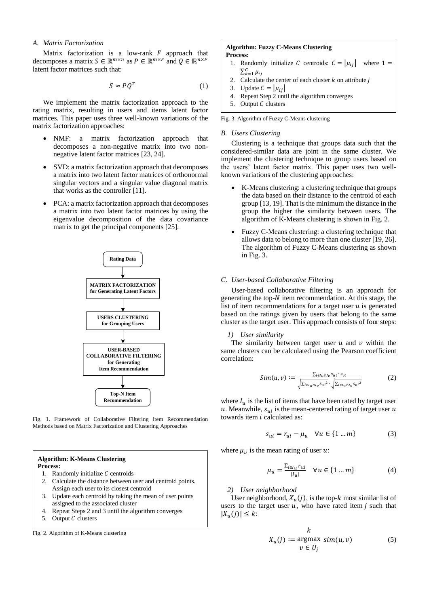# *A. Matrix Factorization*

Matrix factorization is a low-rank  $F$  approach that decomposes a matrix  $S \in \mathbb{R}^{m \times n}$  as  $P \in \mathbb{R}^{m \times F}$  and  $Q \in \mathbb{R}^{n \times F}$ latent factor matrices such that:

$$
S \approx PQ^T \tag{1}
$$

We implement the matrix factorization approach to the rating matrix, resulting in users and items latent factor matrices. This paper uses three well-known variations of the matrix factorization approaches:

- NMF: a matrix factorization approach that decomposes a non-negative matrix into two nonnegative latent factor matrices [23, 24].
- SVD: a matrix factorization approach that decomposes a matrix into two latent factor matrices of orthonormal singular vectors and a singular value diagonal matrix that works as the controller [11].
- PCA: a matrix factorization approach that decomposes a matrix into two latent factor matrices by using the eigenvalue decomposition of the data covariance matrix to get the principal components [25].



<span id="page-1-0"></span>Fig. 1. Framework of Collaborative Filtering Item Recommendation Methods based on Matrix Factorization and Clustering Approaches

# **Algorithm: K-Means Clustering Process:**

- 1. Randomly initialize  $C$  centroids
- 2. Calculate the distance between user and centroid points. Assign each user to its closest centroid
- 3. Update each centroid by taking the mean of user points assigned to the associated cluster
- 4. Repeat Steps 2 and 3 until the algorithm converges
- 5. Output  $C$  clusters

<span id="page-1-1"></span>Fig. 2. Algorithm of K-Means clustering

#### **Algorithm: Fuzzy C-Means Clustering Process:**

- 1. Randomly initialize C centroids:  $C = |\mu_{ij}|$  where  $1 =$  $\sum_{k=1}^{C} \mu_{ij}$
- 2. Calculate the center of each cluster  $k$  on attribute  $j$
- 3. Update  $C = |\mu_{ij}|$
- 4. Repeat Step 2 until the algorithm converges
- 5. Output  $C$  clusters

<span id="page-1-2"></span>Fig. 3. Algorithm of Fuzzy C-Means clustering

# *B. Users Clustering*

Clustering is a technique that groups data such that the considered-similar data are joint in the same cluster. We implement the clustering technique to group users based on the users' latent factor matrix. This paper uses two wellknown variations of the clustering approaches:

- K-Means clustering: a clustering technique that groups the data based on their distance to the centroid of each group [13, 19]. That is the minimum the distance in the group the higher the similarity between users. The algorithm of K-Means clustering is shown in [Fig. 2.](#page-1-1)
- Fuzzy C-Means clustering: a clustering technique that allows data to belong to more than one cluster [19, 26]. The algorithm of Fuzzy C-Means clustering as shown in [Fig. 3.](#page-1-2)

# *C. User-based Collaborative Filtering*

User-based collaborative filtering is an approach for generating the top- $N$  item recommendation. At this stage, the list of item recommendations for a target user  $u$  is generated based on the ratings given by users that belong to the same cluster as the target user. This approach consists of four steps:

## *1) User similarity*

The similarity between target user  $u$  and  $v$  within the same clusters can be calculated using the Pearson coefficient correlation:

$$
Sim(u, v) := \frac{\sum_{i \in I_u \cap I_v} s_{ui} \cdot s_{vi}}{\sqrt{\sum_{i \in I_u \cap I_v} s_{ui}^2} \cdot \sqrt{\sum_{i \in I_u \cap I_v} s_{vi}^2}} \tag{2}
$$

where  $I_u$  is the list of items that have been rated by target user u. Meanwhile,  $s_{ui}$  is the mean-centered rating of target user u towards item  $i$  calculated as:

$$
s_{ui} = r_{ui} - \mu_u \quad \forall u \in \{1 \dots m\} \tag{3}
$$

where  $\mu_u$  is the mean rating of user u:

$$
\mu_u = \frac{\sum_{i \in I_u} r_{ui}}{|I_u|} \quad \forall u \in \{1 \dots m\}
$$
 (4)

#### *2) User neighborhood*

User neighborhood,  $X_u(j)$ , is the top-k most similar list of users to the target user  $u$ , who have rated item  $j$  such that  $|X_u(j)| \leq k$ :

$$
K_u(j) := \underset{\nu \in U_j}{\text{argmax}} \, \, \text{sim}(u, \nu) \tag{5}
$$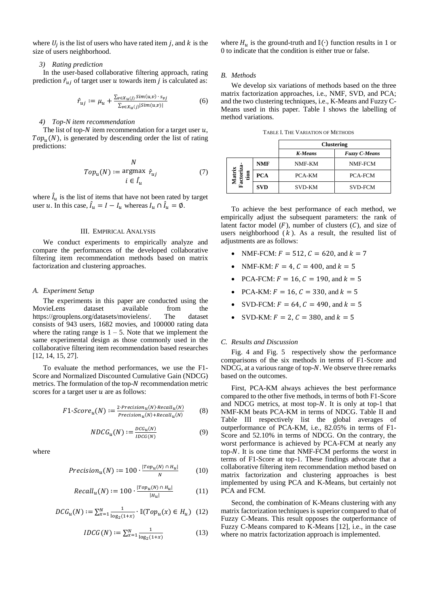where  $U_j$  is the list of users who have rated item j, and k is the size of users neighborhood.

## *3) Rating prediction*

In the user-based collaborative filtering approach, rating prediction  $\hat{r}_{ui}$  of target user u towards item *j* is calculated as:

$$
\hat{r}_{uj} := \mu_u + \frac{\sum_{v \in X_u(j)} \operatorname{Sim}(u, v) \cdot s_{vj}}{\sum_{v \in X_u(j)} |\operatorname{Sim}(u, v)|} \tag{6}
$$

## *4) Top-N item recommendation*

The list of top- $N$  item recommendation for a target user  $u$ ,  $Top<sub>u</sub>(N)$ , is generated by descending order the list of rating predictions:

$$
Top_{\mathbf{u}}(N) := \underset{i \in \hat{I}_{\mathbf{u}}}{\text{argmax}} \ \hat{r}_{uj} \tag{7}
$$

where  $\hat{I}_u$  is the list of items that have not been rated by target user *u*. In this case,  $\hat{I}_u = I - I_u$  whereas  $I_u \cap \hat{I}_u = \emptyset$ .

#### III. EMPIRICAL ANALYSIS

We conduct experiments to empirically analyze and compare the performances of the developed collaborative filtering item recommendation methods based on matrix factorization and clustering approaches.

## *A. Experiment Setup*

The experiments in this paper are conducted using the MovieLens dataset available from the [https://grouplens.org/datasets/movielens/.](https://grouplens.org/datasets/movielens/) The dataset consists of 943 users, 1682 movies, and 100000 rating data where the rating range is  $1 - 5$ . Note that we implement the same experimental design as those commonly used in the collaborative filtering item recommendation based researches [12, 14, 15, 27].

To evaluate the method performances, we use the F1- Score and Normalized Discounted Cumulative Gain (NDCG) metrics. The formulation of the top- $N$  recommendation metric scores for a target user  $u$  are as follows:

$$
F1\text{-}Score_u(N) := \frac{2\text{-}Precision_u(N)\text{-}Recall_u(N)}{Precision_u(N) + Recall_u(N)}\tag{8}
$$

$$
NDCG_u(N) := \frac{DCG_u(N)}{IDCG(N)}\tag{9}
$$

where

$$
Precision_u(N) := 100 \cdot \frac{|Top_u(N) \cap H_u|}{N} \tag{10}
$$

$$
Recall_u(N) := 100 \cdot \frac{|Top_u(N) \cap H_u|}{|H_u|} \tag{11}
$$

$$
DCG_u(N) := \sum_{x=1}^{N} \frac{1}{\log_2(1+x)} \cdot \mathbb{I}(Top_u(x) \in H_u) \tag{12}
$$

$$
IDCG(N) := \sum_{x=1}^{N} \frac{1}{\log_2(1+x)}
$$
(13)

where  $H_u$  is the ground-truth and  $\mathbb{I}(\cdot)$  function results in 1 or 0 to indicate that the condition is either true or false.

# *B. Methods*

We develop six variations of methods based on the three matrix factorization approaches, i.e., NMF, SVD, and PCA; and the two clustering techniques, i.e., K-Means and Fuzzy C-Means used in this paper. [Table I](#page-2-0) shows the labelling of method variations.

<span id="page-2-0"></span>

|                 |            | <b>Clustering</b> |                      |  |  |
|-----------------|------------|-------------------|----------------------|--|--|
|                 |            | <b>K-Means</b>    | <b>Fuzzy C-Means</b> |  |  |
| R<br>ion<br>Fac | <b>NMF</b> | NMF-KM            | NMF-FCM              |  |  |
|                 | <b>PCA</b> | PCA-KM            | <b>PCA-FCM</b>       |  |  |
|                 | <b>SVD</b> | <b>SVD-KM</b>     | <b>SVD-FCM</b>       |  |  |

TABLE I. THE VARIATION OF METHODS

To achieve the best performance of each method, we empirically adjust the subsequent parameters: the rank of latent factor model  $(F)$ , number of clusters  $(C)$ , and size of users neighborhood  $(k)$ . As a result, the resulted list of adjustments are as follows:

- NMF-FCM:  $F = 512$ ,  $C = 620$ , and  $k = 7$
- NMF-KM:  $F = 4$ ,  $C = 400$ , and  $k = 5$
- PCA-FCM:  $F = 16$ ,  $C = 190$ , and  $k = 5$
- PCA-KM:  $F = 16$ ,  $C = 330$ , and  $k = 5$
- SVD-FCM:  $F = 64$ ,  $C = 490$ , and  $k = 5$
- SVD-KM:  $F = 2$ ,  $C = 380$ , and  $k = 5$

## *C. Results and Discussion*

[Fig. 4](#page-3-0) and [Fig. 5](#page-3-1) respectively show the performance comparisons of the six methods in terms of F1-Score and NDCG, at a various range of top- $N$ . We observe three remarks based on the outcomes.

First, PCA-KM always achieves the best performance compared to the other five methods, in terms of both F1-Score and NDCG metrics, at most top- $N$ . It is only at top-1 that NMF-KM beats PCA-KM in terms of NDCG. [Table II](#page-3-2) and [Table III](#page-3-3) respectively list the global averages of outperformance of PCA-KM, i.e., 82.05% in terms of F1- Score and 52.10% in terms of NDCG. On the contrary, the worst performance is achieved by PCA-FCM at nearly any top- $N$ . It is one time that NMF-FCM performs the worst in terms of F1-Score at top-1. These findings advocate that a collaborative filtering item recommendation method based on matrix factorization and clustering approaches is best implemented by using PCA and K-Means, but certainly not PCA and FCM.

Second, the combination of K-Means clustering with any matrix factorization techniques is superior compared to that of Fuzzy C-Means. This result opposes the outperformance of Fuzzy C-Means compared to K-Means [12], i.e., in the case where no matrix factorization approach is implemented.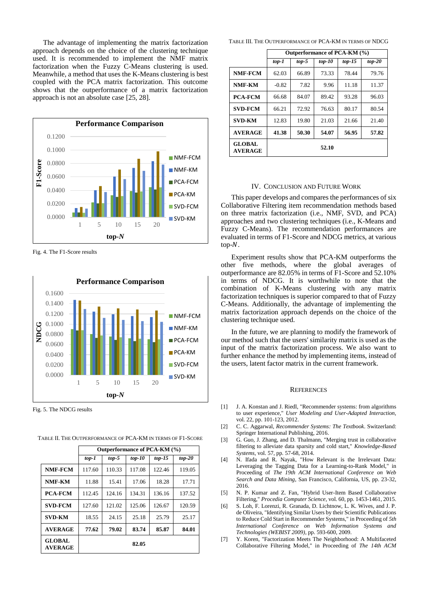The advantage of implementing the matrix factorization approach depends on the choice of the clustering technique used. It is recommended to implement the NMF matrix factorization when the Fuzzy C-Means clustering is used. Meanwhile, a method that uses the K-Means clustering is best coupled with the PCA matrix factorization. This outcome shows that the outperformance of a matrix factorization approach is not an absolute case [25, 28].



<span id="page-3-0"></span>Fig. 4. The F1-Score results



<span id="page-3-1"></span>Fig. 5. The NDCG results

|                                 | Outperformance of FCA-KIVI (70) |         |          |          |          |  |  |
|---------------------------------|---------------------------------|---------|----------|----------|----------|--|--|
|                                 | $top-1$                         | $top-5$ | $top-10$ | $top-15$ | $top-20$ |  |  |
| NMF-FCM                         | 117.60                          | 110.33  | 117.08   | 122.46   | 119.05   |  |  |
| NMF-KM                          | 11.88                           | 15.41   | 17.06    | 18.28    | 17.71    |  |  |
| <b>PCA-FCM</b>                  | 112.45                          | 124.16  | 134.31   | 136.16   | 137.52   |  |  |
| <b>SVD-FCM</b>                  | 127.60                          | 121.02  | 125.06   | 126.67   | 120.59   |  |  |
| <b>SVD-KM</b>                   | 18.55                           | 24.15   | 25.18    | 25.79    | 25.17    |  |  |
| <b>AVERAGE</b>                  | 77.62                           | 79.02   | 83.74    | 85.87    | 84.01    |  |  |
| <b>GLOBAL</b><br><b>AVERAGE</b> | 82.05                           |         |          |          |          |  |  |

<span id="page-3-2"></span>TABLE II. THE OUTPERFORMANCE OF PCA-KM IN TERMS OF F1-SCORE

 $\overline{\mathbf{O}}$ 

<span id="page-3-3"></span>TABLE III. THE OUTPERFORMANCE OF PCA-KM IN TERMS OF NDCG

|                                 | Outperformance of PCA-KM (%) |         |          |          |          |  |
|---------------------------------|------------------------------|---------|----------|----------|----------|--|
|                                 | top-1                        | $top-5$ | $top-10$ | $top-15$ | $top-20$ |  |
| NMF-FCM                         | 62.03                        | 66.89   | 73.33    | 78.44    | 79.76    |  |
| NMF-KM                          | $-0.82$                      | 7.82    | 9.96     | 11.18    | 11.37    |  |
| <b>PCA-FCM</b>                  | 66.68                        | 84.07   | 89.42    | 93.28    | 96.03    |  |
| <b>SVD-FCM</b>                  | 66.21                        | 72.92   | 76.63    | 80.17    | 80.54    |  |
| <b>SVD-KM</b>                   | 12.83                        | 19.80   | 21.03    | 21.66    | 21.40    |  |
| <b>AVERAGE</b>                  | 41.38                        | 50.30   | 54.07    | 56.95    | 57.82    |  |
| <b>GLOBAL</b><br><b>AVERAGE</b> |                              |         | 52.10    |          |          |  |

## IV. CONCLUSION AND FUTURE WORK

This paper develops and compares the performances of six Collaborative Filtering item recommendation methods based on three matrix factorization (i.e., NMF, SVD, and PCA) approaches and two clustering techniques (i.e., K-Means and Fuzzy C-Means). The recommendation performances are evaluated in terms of F1-Score and NDCG metrics, at various  $top-N$ .

Experiment results show that PCA-KM outperforms the other five methods, where the global averages of outperformance are 82.05% in terms of F1-Score and 52.10% in terms of NDCG. It is worthwhile to note that the combination of K-Means clustering with any matrix factorization techniques is superior compared to that of Fuzzy C-Means. Additionally, the advantage of implementing the matrix factorization approach depends on the choice of the clustering technique used.

In the future, we are planning to modify the framework of our method such that the users' similarity matrix is used as the input of the matrix factorization process. We also want to further enhance the method by implementing items, instead of the users, latent factor matrix in the current framework.

## **REFERENCES**

- [1] J. A. Konstan and J. Riedl, "Recommender systems: from algorithms to user experience," *User Modeling and User-Adapted Interaction,*  vol. 22, pp. 101-123, 2012.
- [2] C. C. Aggarwal, *Recommender Systems: The Textbook*. Switzerland: Springer International Publishing, 2016.
- [3] G. Guo, J. Zhang, and D. Thalmann, "Merging trust in collaborative filtering to alleviate data sparsity and cold start," *Knowledge-Based Systems,* vol. 57, pp. 57-68, 2014.
- [4] N. Ifada and R. Nayak, "How Relevant is the Irrelevant Data: Leveraging the Tagging Data for a Learning-to-Rank Model," in Proceeding of *The 19th ACM International Conference on Web Search and Data Mining*, San Francisco, California, US, pp. 23-32, 2016.
- [5] N. P. Kumar and Z. Fan, "Hybrid User-Item Based Collaborative Filtering," *Procedia Computer Science,* vol. 60, pp. 1453-1461, 2015.
- [6] S. Loh, F. Lorenzi, R. Granada, D. Lichtnow, L. K. Wives, and J. P. de Oliveira, "Identifying Similar Users by their Scientific Publications to Reduce Cold Start in Recommender Systems," in Proceeding of *5th International Conference on Web Information Systems and Technologies (WEBIST 2009)*, pp. 593-600, 2009.
- [7] Y. Koren, "Factorization Meets The Neighborhood: A Multifaceted Collaborative Filtering Model," in Proceeding of *The 14th ACM*